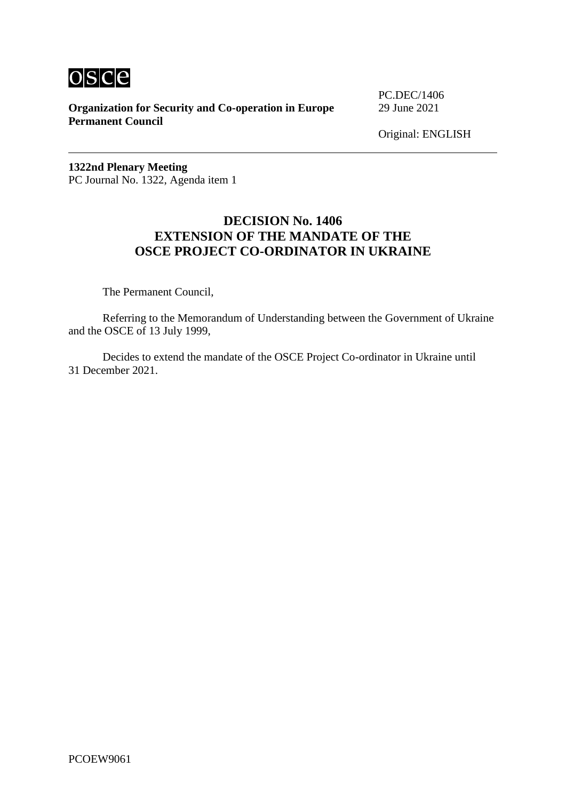

**Organization for Security and Co-operation in Europe** 29 June 2021 **Permanent Council**

PC.DEC/1406

Original: ENGLISH

**1322nd Plenary Meeting** PC Journal No. 1322, Agenda item 1

#### **DECISION No. 1406 EXTENSION OF THE MANDATE OF THE OSCE PROJECT CO-ORDINATOR IN UKRAINE**

The Permanent Council,

Referring to the Memorandum of Understanding between the Government of Ukraine and the OSCE of 13 July 1999,

Decides to extend the mandate of the OSCE Project Co-ordinator in Ukraine until 31 December 2021.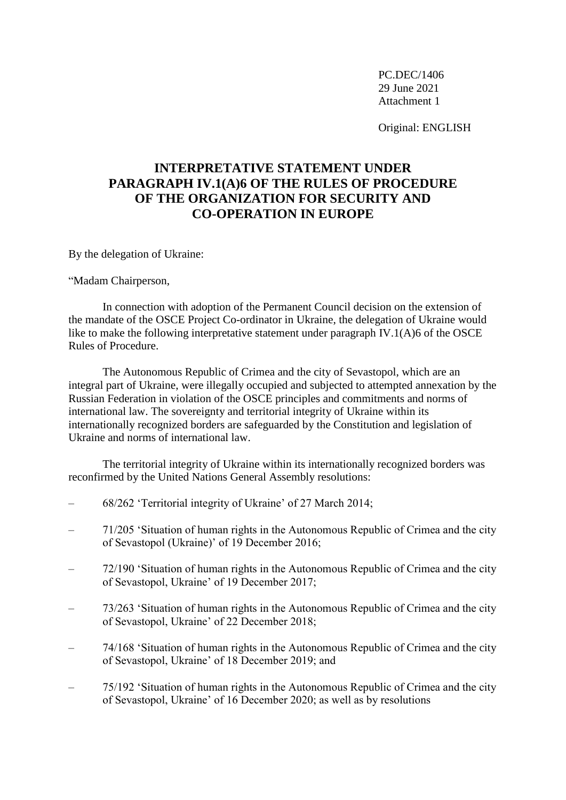Original: ENGLISH

# **INTERPRETATIVE STATEMENT UNDER PARAGRAPH IV.1(A)6 OF THE RULES OF PROCEDURE OF THE ORGANIZATION FOR SECURITY AND CO-OPERATION IN EUROPE**

By the delegation of Ukraine:

"Madam Chairperson,

In connection with adoption of the Permanent Council decision on the extension of the mandate of the OSCE Project Co-ordinator in Ukraine, the delegation of Ukraine would like to make the following interpretative statement under paragraph IV.1(A)6 of the OSCE Rules of Procedure.

The Autonomous Republic of Crimea and the city of Sevastopol, which are an integral part of Ukraine, were illegally occupied and subjected to attempted annexation by the Russian Federation in violation of the OSCE principles and commitments and norms of international law. The sovereignty and territorial integrity of Ukraine within its internationally recognized borders are safeguarded by the Constitution and legislation of Ukraine and norms of international law.

The territorial integrity of Ukraine within its internationally recognized borders was reconfirmed by the United Nations General Assembly resolutions:

- 68/262 'Territorial integrity of Ukraine' of 27 March 2014;
- 71/205 'Situation of human rights in the Autonomous Republic of Crimea and the city of Sevastopol (Ukraine)' of 19 December 2016;
- 72/190 'Situation of human rights in the Autonomous Republic of Crimea and the city of Sevastopol, Ukraine' of 19 December 2017;
- 73/263 'Situation of human rights in the Autonomous Republic of Crimea and the city of Sevastopol, Ukraine' of 22 December 2018;
- 74/168 'Situation of human rights in the Autonomous Republic of Crimea and the city of Sevastopol, Ukraine' of 18 December 2019; and
- 75/192 'Situation of human rights in the Autonomous Republic of Crimea and the city of Sevastopol, Ukraine' of 16 December 2020; as well as by resolutions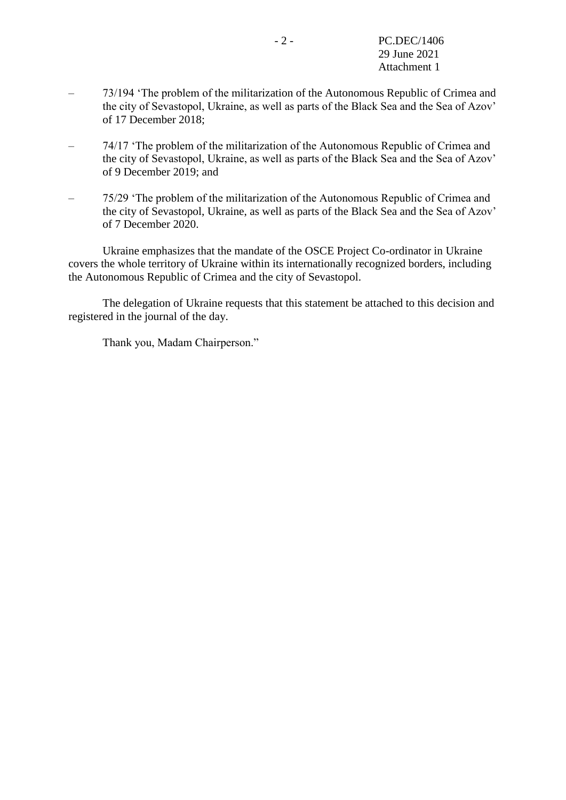- 73/194 'The problem of the militarization of the Autonomous Republic of Crimea and the city of Sevastopol, Ukraine, as well as parts of the Black Sea and the Sea of Azov' of 17 December 2018;
- 74/17 'The problem of the militarization of the Autonomous Republic of Crimea and the city of Sevastopol, Ukraine, as well as parts of the Black Sea and the Sea of Azov' of 9 December 2019; and
- 75/29 'The problem of the militarization of the Autonomous Republic of Crimea and the city of Sevastopol, Ukraine, as well as parts of the Black Sea and the Sea of Azov' of 7 December 2020.

Ukraine emphasizes that the mandate of the OSCE Project Co-ordinator in Ukraine covers the whole territory of Ukraine within its internationally recognized borders, including the Autonomous Republic of Crimea and the city of Sevastopol.

The delegation of Ukraine requests that this statement be attached to this decision and registered in the journal of the day.

Thank you, Madam Chairperson."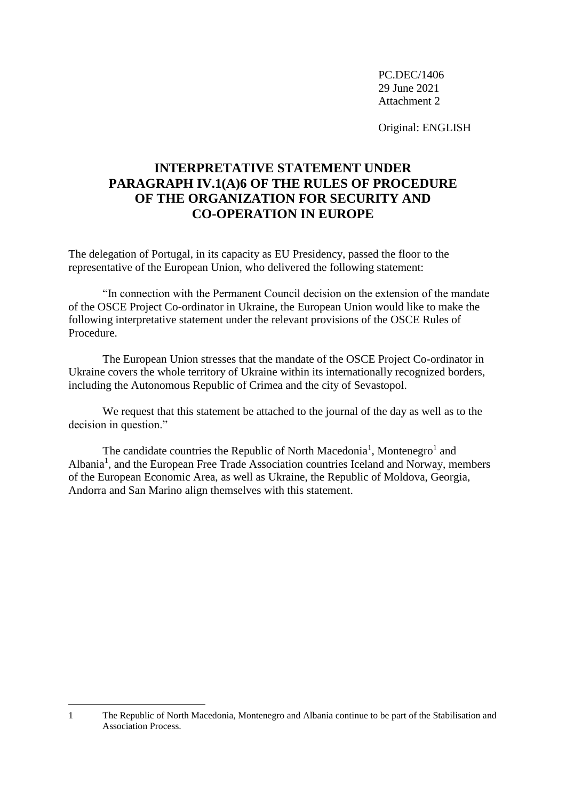Original: ENGLISH

# **INTERPRETATIVE STATEMENT UNDER PARAGRAPH IV.1(A)6 OF THE RULES OF PROCEDURE OF THE ORGANIZATION FOR SECURITY AND CO-OPERATION IN EUROPE**

The delegation of Portugal, in its capacity as EU Presidency, passed the floor to the representative of the European Union, who delivered the following statement:

"In connection with the Permanent Council decision on the extension of the mandate of the OSCE Project Co-ordinator in Ukraine, the European Union would like to make the following interpretative statement under the relevant provisions of the OSCE Rules of Procedure.

The European Union stresses that the mandate of the OSCE Project Co-ordinator in Ukraine covers the whole territory of Ukraine within its internationally recognized borders, including the Autonomous Republic of Crimea and the city of Sevastopol.

We request that this statement be attached to the journal of the day as well as to the decision in question."

<span id="page-3-0"></span>The candidate c[o](#page-3-0)untries the Republic of North Macedonia<sup>1</sup>, Montenegro<sup>1</sup> and Albania<sup>[1](#page-3-0)</sup>, and the European Free Trade Association countries Iceland and Norway, members of the European Economic Area, as well as Ukraine, the Republic of Moldova, Georgia, Andorra and San Marino align themselves with this statement.

1

<sup>1</sup> The Republic of North Macedonia, Montenegro and Albania continue to be part of the Stabilisation and Association Process.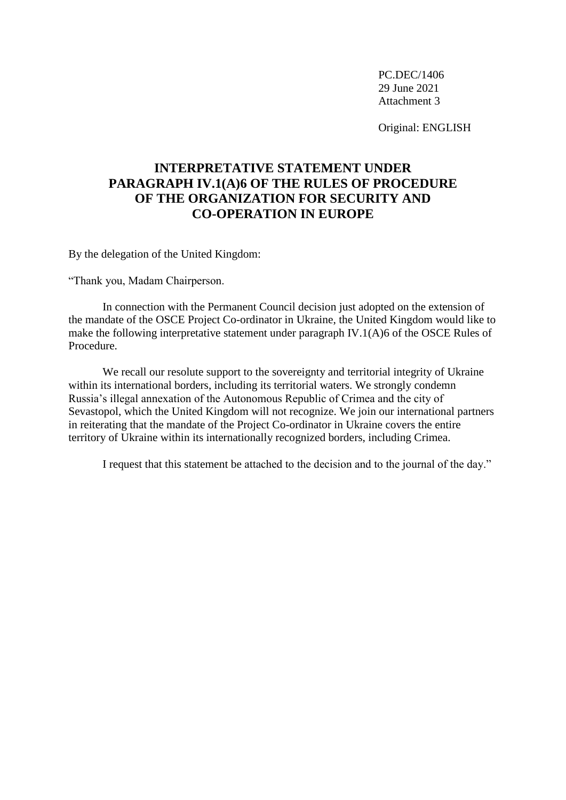Original: ENGLISH

## **INTERPRETATIVE STATEMENT UNDER PARAGRAPH IV.1(A)6 OF THE RULES OF PROCEDURE OF THE ORGANIZATION FOR SECURITY AND CO-OPERATION IN EUROPE**

By the delegation of the United Kingdom:

"Thank you, Madam Chairperson.

In connection with the Permanent Council decision just adopted on the extension of the mandate of the OSCE Project Co-ordinator in Ukraine, the United Kingdom would like to make the following interpretative statement under paragraph IV.1(A)6 of the OSCE Rules of Procedure.

We recall our resolute support to the sovereignty and territorial integrity of Ukraine within its international borders, including its territorial waters. We strongly condemn Russia's illegal annexation of the Autonomous Republic of Crimea and the city of Sevastopol, which the United Kingdom will not recognize. We join our international partners in reiterating that the mandate of the Project Co-ordinator in Ukraine covers the entire territory of Ukraine within its internationally recognized borders, including Crimea.

I request that this statement be attached to the decision and to the journal of the day."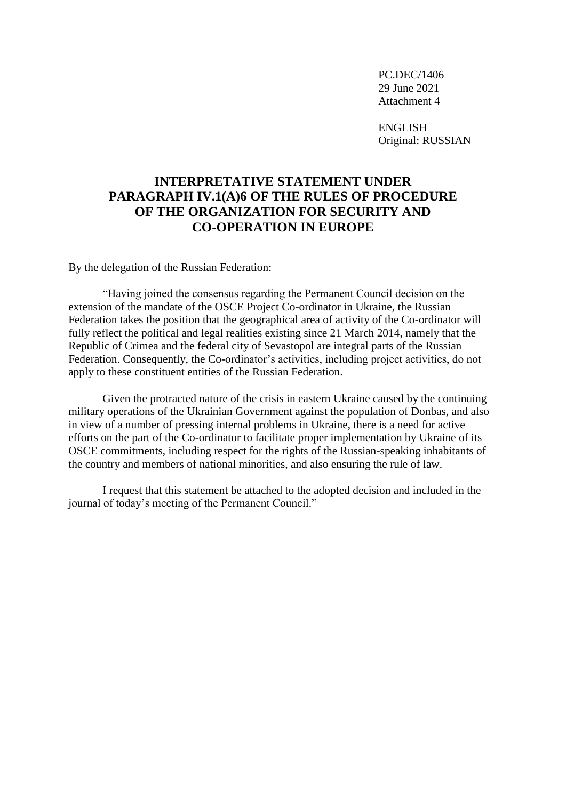ENGLISH Original: RUSSIAN

### **INTERPRETATIVE STATEMENT UNDER PARAGRAPH IV.1(A)6 OF THE RULES OF PROCEDURE OF THE ORGANIZATION FOR SECURITY AND CO-OPERATION IN EUROPE**

By the delegation of the Russian Federation:

"Having joined the consensus regarding the Permanent Council decision on the extension of the mandate of the OSCE Project Co-ordinator in Ukraine, the Russian Federation takes the position that the geographical area of activity of the Co-ordinator will fully reflect the political and legal realities existing since 21 March 2014, namely that the Republic of Crimea and the federal city of Sevastopol are integral parts of the Russian Federation. Consequently, the Co-ordinator's activities, including project activities, do not apply to these constituent entities of the Russian Federation.

Given the protracted nature of the crisis in eastern Ukraine caused by the continuing military operations of the Ukrainian Government against the population of Donbas, and also in view of a number of pressing internal problems in Ukraine, there is a need for active efforts on the part of the Co-ordinator to facilitate proper implementation by Ukraine of its OSCE commitments, including respect for the rights of the Russian-speaking inhabitants of the country and members of national minorities, and also ensuring the rule of law.

I request that this statement be attached to the adopted decision and included in the journal of today's meeting of the Permanent Council."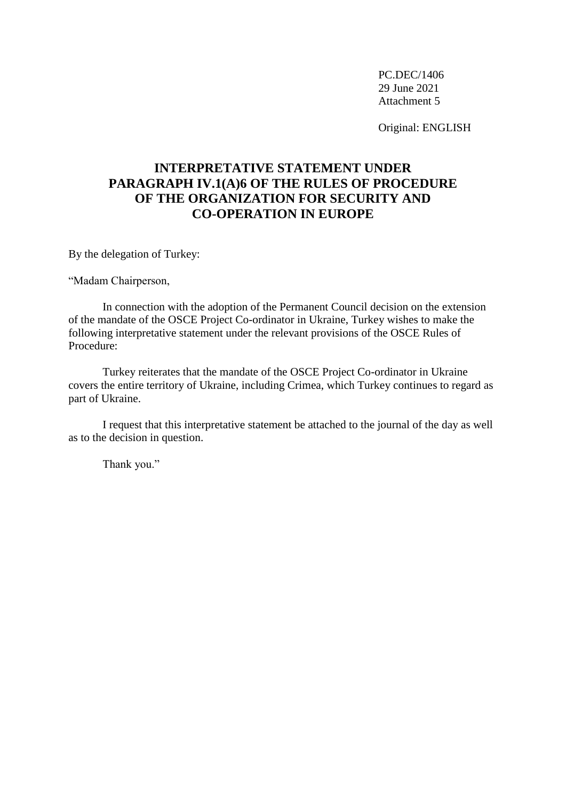Original: ENGLISH

## **INTERPRETATIVE STATEMENT UNDER PARAGRAPH IV.1(A)6 OF THE RULES OF PROCEDURE OF THE ORGANIZATION FOR SECURITY AND CO-OPERATION IN EUROPE**

By the delegation of Turkey:

"Madam Chairperson,

In connection with the adoption of the Permanent Council decision on the extension of the mandate of the OSCE Project Co-ordinator in Ukraine, Turkey wishes to make the following interpretative statement under the relevant provisions of the OSCE Rules of Procedure:

Turkey reiterates that the mandate of the OSCE Project Co-ordinator in Ukraine covers the entire territory of Ukraine, including Crimea, which Turkey continues to regard as part of Ukraine.

I request that this interpretative statement be attached to the journal of the day as well as to the decision in question.

Thank you."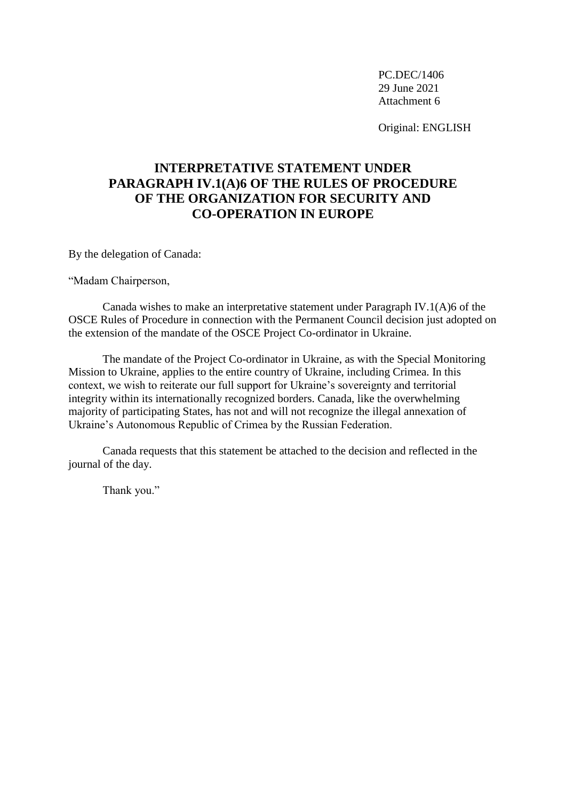Original: ENGLISH

# **INTERPRETATIVE STATEMENT UNDER PARAGRAPH IV.1(A)6 OF THE RULES OF PROCEDURE OF THE ORGANIZATION FOR SECURITY AND CO-OPERATION IN EUROPE**

By the delegation of Canada:

"Madam Chairperson,

Canada wishes to make an interpretative statement under Paragraph IV.1(A)6 of the OSCE Rules of Procedure in connection with the Permanent Council decision just adopted on the extension of the mandate of the OSCE Project Co-ordinator in Ukraine.

The mandate of the Project Co-ordinator in Ukraine, as with the Special Monitoring Mission to Ukraine, applies to the entire country of Ukraine, including Crimea. In this context, we wish to reiterate our full support for Ukraine's sovereignty and territorial integrity within its internationally recognized borders. Canada, like the overwhelming majority of participating States, has not and will not recognize the illegal annexation of Ukraine's Autonomous Republic of Crimea by the Russian Federation.

Canada requests that this statement be attached to the decision and reflected in the journal of the day.

Thank you."